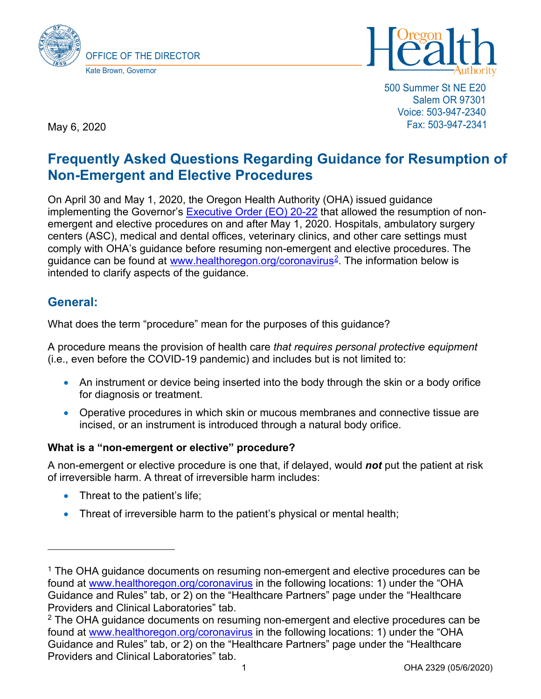



500 Summer St NE E20 Salem OR 97301 Voice: 503-947-2340 Fax: 503-947-2341

May 6, 2020

# **Frequently Asked Questions Regarding Guidance for Resumption of Non-Emergent and Elective Procedures**

On April 30 and May 1, 2020, the Oregon Health Authority (OHA) issued guidance implementing the Governor's **Executive Order (EO) 20-22** that allowed the resumption of nonemergent and elective procedures on and after May 1, 2020. Hospitals, ambulatory surgery centers (ASC), medical and dental offices, veterinary clinics, and other care settings must comply with OHA's guidance before resuming non-emergent and elective procedures. The guidance can be found at www.healthoregon.org/coronavirus<sup>2</sup>. The information below is intended to clarify aspects of the guidance.

## **General:**

What does the term "procedure" mean for the purposes of this guidance?

A procedure means the provision of health care *that requires personal protective equipment* (i.e., even before the COVID-19 pandemic) and includes but is not limited to:

- An instrument or device being inserted into the body through the skin or a body orifice for diagnosis or treatment.
- Operative procedures in which skin or mucous membranes and connective tissue are incised, or an instrument is introduced through a natural body orifice.

### **What is a "non-emergent or elective" procedure?**

A non-emergent or elective procedure is one that, if delayed, would *not* put the patient at risk of irreversible harm. A threat of irreversible harm includes:

- Threat to the patient's life;
- Threat of irreversible harm to the patient's physical or mental health;

<sup>&</sup>lt;sup>1</sup> The OHA guidance documents on resuming non-emergent and elective procedures can be found at [www.healthoregon.org/coronavirus](http://www.healthoregon.org/coronavirus) in the following locations: 1) under the "OHA Guidance and Rules" tab, or 2) on the "Healthcare Partners" page under the "Healthcare Providers and Clinical Laboratories" tab.

<span id="page-0-0"></span><sup>&</sup>lt;sup>2</sup> The OHA guidance documents on resuming non-emergent and elective procedures can be found at [www.healthoregon.org/coronavirus](http://www.healthoregon.org/coronavirus) in the following locations: 1) under the "OHA Guidance and Rules" tab, or 2) on the "Healthcare Partners" page under the "Healthcare Providers and Clinical Laboratories" tab.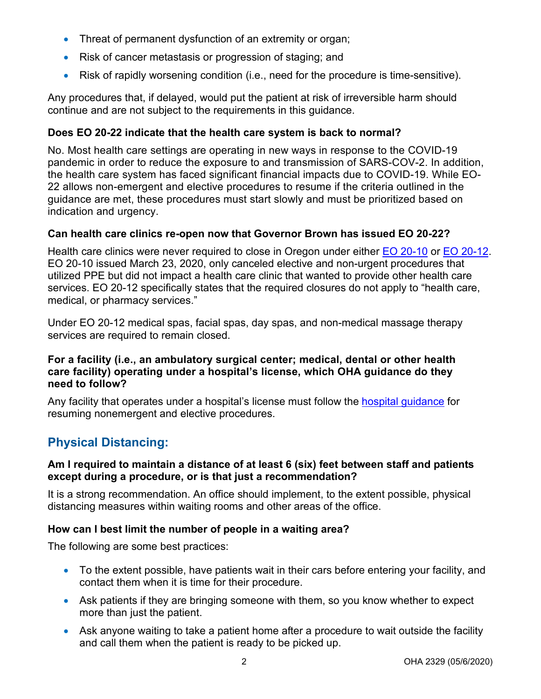- Threat of permanent dysfunction of an extremity or organ;
- Risk of cancer metastasis or progression of staging; and
- Risk of rapidly worsening condition (i.e., need for the procedure is time-sensitive).

Any procedures that, if delayed, would put the patient at risk of irreversible harm should continue and are not subject to the requirements in this guidance.

### **Does EO 20-22 indicate that the health care system is back to normal?**

No. Most health care settings are operating in new ways in response to the COVID-19 pandemic in order to reduce the exposure to and transmission of SARS-COV-2. In addition, the health care system has faced significant financial impacts due to COVID-19. While EO-22 allows non-emergent and elective procedures to resume if the criteria outlined in the guidance are met, these procedures must start slowly and must be prioritized based on indication and urgency.

### **Can health care clinics re-open now that Governor Brown has issued EO 20-22?**

Health care clinics were never required to close in Oregon under either [EO 20-10](https://www.oregon.gov/gov/admin/Pages/eo_20-10.aspx) or [EO 20-12.](https://www.oregon.gov/gov/Documents/executive_orders/eo_20-12.pdf) EO 20-10 issued March 23, 2020, only canceled elective and non-urgent procedures that utilized PPE but did not impact a health care clinic that wanted to provide other health care services. EO 20-12 specifically states that the required closures do not apply to "health care, medical, or pharmacy services."

Under EO 20-12 medical spas, facial spas, day spas, and non-medical massage therapy services are required to remain closed.

#### **For a facility (i.e., an ambulatory surgical center; medical, dental or other health care facility) operating under a hospital's license, which OHA guidance do they need to follow?**

Any facility that operates under a hospital's license must follow the [hospital guidance](https://sharedsystems.dhsoha.state.or.us/DHSForms/Served/le2322u.pdf) for resuming nonemergent and elective procedures.

# **Physical Distancing:**

### **Am I required to maintain a distance of at least 6 (six) feet between staff and patients except during a procedure, or is that just a recommendation?**

It is a strong recommendation. An office should implement, to the extent possible, physical distancing measures within waiting rooms and other areas of the office.

### **How can I best limit the number of people in a waiting area?**

The following are some best practices:

- To the extent possible, have patients wait in their cars before entering your facility, and contact them when it is time for their procedure.
- Ask patients if they are bringing someone with them, so you know whether to expect more than just the patient.
- Ask anyone waiting to take a patient home after a procedure to wait outside the facility and call them when the patient is ready to be picked up.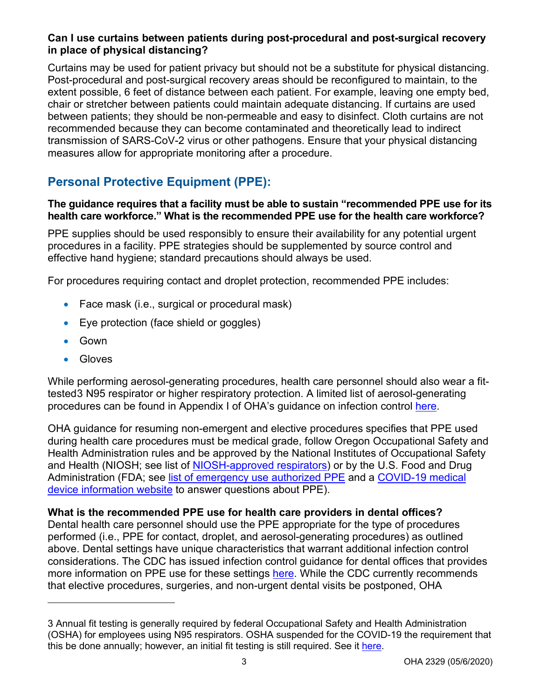### **Can I use curtains between patients during post-procedural and post-surgical recovery in place of physical distancing?**

Curtains may be used for patient privacy but should not be a substitute for physical distancing. Post-procedural and post-surgical recovery areas should be reconfigured to maintain, to the extent possible, 6 feet of distance between each patient. For example, leaving one empty bed, chair or stretcher between patients could maintain adequate distancing. If curtains are used between patients; they should be non-permeable and easy to disinfect. Cloth curtains are not recommended because they can become contaminated and theoretically lead to indirect transmission of SARS-CoV-2 virus or other pathogens. Ensure that your physical distancing measures allow for appropriate monitoring after a procedure.

# **Personal Protective Equipment (PPE):**

### **The guidance requires that a facility must be able to sustain "recommended PPE use for its health care workforce." What is the recommended PPE use for the health care workforce?**

PPE supplies should be used responsibly to ensure their availability for any potential urgent procedures in a facility. PPE strategies should be supplemented by source control and effective hand hygiene; standard precautions should always be used.

For procedures requiring contact and droplet protection, recommended PPE includes:

- Face mask (i.e., surgical or procedural mask)
- Eye protection (face shield or goggles)
- Gown
- Gloves

While performing aerosol-generating procedures, health care personnel should also wear a fittested[3](#page-2-0) N95 respirator or higher respiratory protection. A limited list of aerosol-generating procedures can be found in Appendix I of OHA's guidance on infection control [here.](https://sharedsystems.dhsoha.state.or.us/DHSForms/Served/le2288J.pdf)

OHA guidance for resuming non-emergent and elective procedures specifies that PPE used during health care procedures must be medical grade, follow Oregon Occupational Safety and Health Administration rules and be approved by the National Institutes of Occupational Safety and Health (NIOSH; see list of [NIOSH-approved respirators\)](https://www.cdc.gov/niosh/topics/respirators/) or by the U.S. Food and Drug Administration (FDA; see [list of emergency use authorized PPE](https://www.fda.gov/emergency-preparedness-and-response/mcm-legal-regulatory-and-policy-framework/emergency-use-authorization#covidppe) and a COVID-19 medical [device information website](https://www.fda.gov/medical-devices/emergency-situations-medical-devices/medical-devices-and-covid-19-coronavirus-pandemic) to answer questions about PPE).

### **What is the recommended PPE use for health care providers in dental offices?**

Dental health care personnel should use the PPE appropriate for the type of procedures performed (i.e., PPE for contact, droplet, and aerosol-generating procedures) as outlined above. Dental settings have unique characteristics that warrant additional infection control considerations. The CDC has issued infection control guidance for dental offices that provides more information on PPE use for these settings [here.](http://www.cdc.gov/coronavirus/2019-ncov/hcp/dental-settings.html/) While the CDC currently recommends that elective procedures, surgeries, and non-urgent dental visits be postponed, OHA

<span id="page-2-0"></span><sup>3</sup> Annual fit testing is generally required by federal Occupational Safety and Health Administration (OSHA) for employees using N95 respirators. OSHA suspended for the COVID-19 the requirement that this be done annually; however, an initial fit testing is still required. See it [here.](http://www.osha.gov/memos/2020-03-14/temporary-enforcement-guidance-healthcare-respiratory-protection-annual-fit)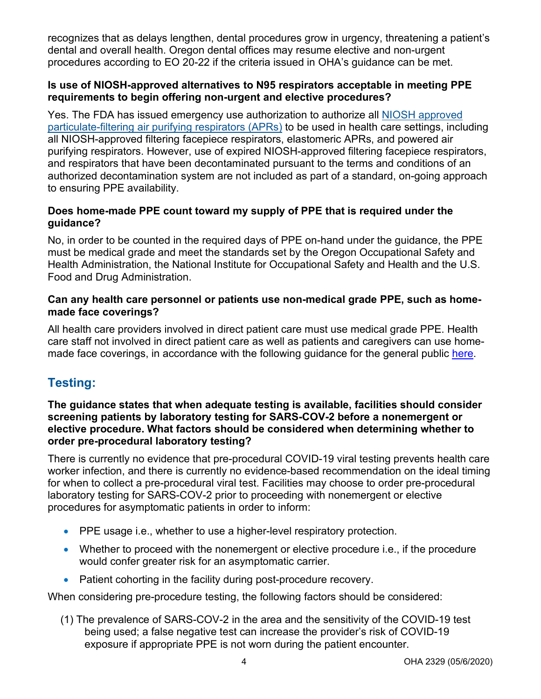recognizes that as delays lengthen, dental procedures grow in urgency, threatening a patient's dental and overall health. Oregon dental offices may resume elective and non-urgent procedures according to EO 20-22 if the criteria issued in OHA's guidance can be met.

### **Is use of NIOSH-approved alternatives to N95 respirators acceptable in meeting PPE requirements to begin offering non-urgent and elective procedures?**

Yes. The FDA has issued emergency use authorization to authorize all NIOSH [approved](https://www.fda.gov/media/135763/download) [particulate-filtering](https://www.fda.gov/media/135763/download) air purifying respirators (APRs) to be used in health care settings, including all NIOSH-approved filtering facepiece respirators, elastomeric APRs, and powered air purifying respirators. However, use of expired NIOSH-approved filtering facepiece respirators, and respirators that have been decontaminated pursuant to the terms and conditions of an authorized decontamination system are not included as part of a standard, on-going approach to ensuring PPE availability.

### **Does home-made PPE count toward my supply of PPE that is required under the guidance?**

No, in order to be counted in the required days of PPE on-hand under the guidance, the PPE must be medical grade and meet the standards set by the Oregon Occupational Safety and Health Administration, the National Institute for Occupational Safety and Health and the U.S. Food and Drug Administration.

### **Can any health care personnel or patients use non-medical grade PPE, such as homemade face coverings?**

All health care providers involved in direct patient care must use medical grade PPE. Health care staff not involved in direct patient care as well as patients and caregivers can use homemade face coverings, in accordance with the following guidance for the general public [here.](https://sharedsystems.dhsoha.state.or.us/DHSForms/Served/le2288K.pdf)

# **Testing:**

### **The guidance states that when adequate testing is available, facilities should consider screening patients by laboratory testing for SARS-COV-2 before a nonemergent or elective procedure. What factors should be considered when determining whether to order pre-procedural laboratory testing?**

There is currently no evidence that pre-procedural COVID-19 viral testing prevents health care worker infection, and there is currently no evidence-based recommendation on the ideal timing for when to collect a pre-procedural viral test. Facilities may choose to order pre-procedural laboratory testing for SARS-COV-2 prior to proceeding with nonemergent or elective procedures for asymptomatic patients in order to inform:

- PPE usage i.e., whether to use a higher-level respiratory protection.
- Whether to proceed with the nonemergent or elective procedure i.e., if the procedure would confer greater risk for an asymptomatic carrier.
- Patient cohorting in the facility during post-procedure recovery.

When considering pre-procedure testing, the following factors should be considered:

(1) The prevalence of SARS-COV-2 in the area and the sensitivity of the COVID-19 test being used; a false negative test can increase the provider's risk of COVID-19 exposure if appropriate PPE is not worn during the patient encounter.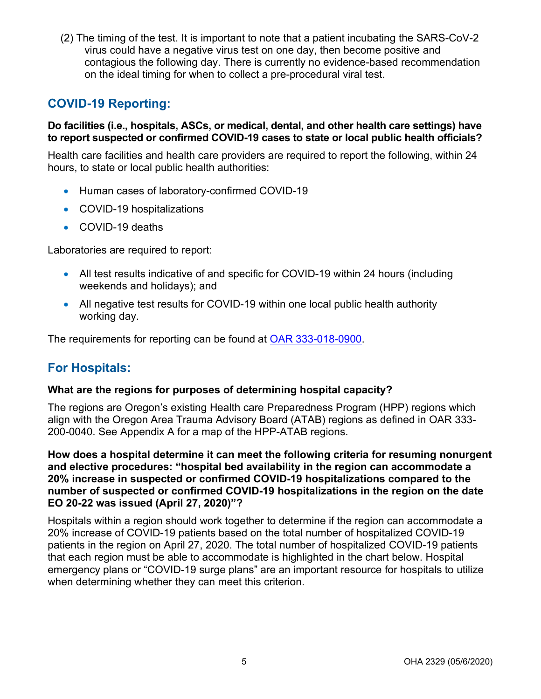(2) The timing of the test. It is important to note that a patient incubating the SARS-CoV-2 virus could have a negative virus test on one day, then become positive and contagious the following day. There is currently no evidence-based recommendation on the ideal timing for when to collect a pre-procedural viral test.

## **COVID-19 Reporting:**

### **Do facilities (i.e., hospitals, ASCs, or medical, dental, and other health care settings) have to report suspected or confirmed COVID-19 cases to state or local public health officials?**

Health care facilities and health care providers are required to report the following, within 24 hours, to state or local public health authorities:

- Human cases of laboratory-confirmed COVID-19
- COVID-19 hospitalizations
- COVID-19 deaths

Laboratories are required to report:

- All test results indicative of and specific for COVID-19 within 24 hours (including weekends and holidays); and
- All negative test results for COVID-19 within one local public health authority working day.

The requirements for reporting can be found at [OAR 333-018-0900.](https://secure.sos.state.or.us/oard/viewSingleRule.action;JSESSIONID_OARD=lszlrDDbto1Q_7028D9kLsgua8E41n7PUqo1h8Pnh8pn18DwVhDf!-1736106524?ruleVrsnRsn=269070)

## **For Hospitals:**

### **What are the regions for purposes of determining hospital capacity?**

The regions are Oregon's existing Health care Preparedness Program (HPP) regions which align with the Oregon Area Trauma Advisory Board (ATAB) regions as defined in OAR 333- 200-0040. See Appendix A for a map of the HPP-ATAB regions.

**How does a hospital determine it can meet the following criteria for resuming nonurgent and elective procedures: "hospital bed availability in the region can accommodate a 20% increase in suspected or confirmed COVID-19 hospitalizations compared to the number of suspected or confirmed COVID-19 hospitalizations in the region on the date EO 20-22 was issued (April 27, 2020)"?**

Hospitals within a region should work together to determine if the region can accommodate a 20% increase of COVID-19 patients based on the total number of hospitalized COVID-19 patients in the region on April 27, 2020. The total number of hospitalized COVID-19 patients that each region must be able to accommodate is highlighted in the chart below. Hospital emergency plans or "COVID-19 surge plans" are an important resource for hospitals to utilize when determining whether they can meet this criterion.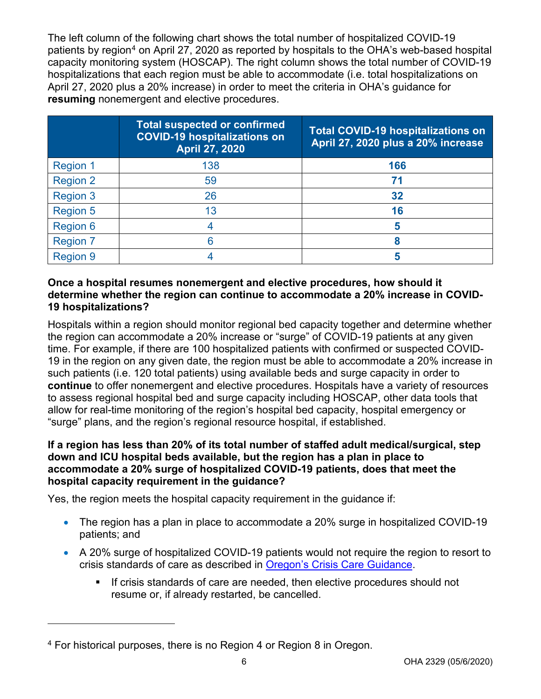The left column of the following chart shows the total number of hospitalized COVID-19 patients by region<sup>[4](#page-5-0)</sup> on April 27, 2020 as reported by hospitals to the OHA's web-based hospital capacity monitoring system (HOSCAP). The right column shows the total number of COVID-19 hospitalizations that each region must be able to accommodate (i.e. total hospitalizations on April 27, 2020 plus a 20% increase) in order to meet the criteria in OHA's guidance for **resuming** nonemergent and elective procedures.

|                 | <b>Total suspected or confirmed</b><br><b>COVID-19 hospitalizations on</b><br><b>April 27, 2020</b> | <b>Total COVID-19 hospitalizations on</b><br>April 27, 2020 plus a 20% increase |
|-----------------|-----------------------------------------------------------------------------------------------------|---------------------------------------------------------------------------------|
| <b>Region 1</b> | 138                                                                                                 | 166                                                                             |
| <b>Region 2</b> | 59                                                                                                  | 71                                                                              |
| <b>Region 3</b> | 26                                                                                                  | 32                                                                              |
| <b>Region 5</b> | 13                                                                                                  | 16                                                                              |
| <b>Region 6</b> |                                                                                                     | 5                                                                               |
| <b>Region 7</b> |                                                                                                     | 8                                                                               |
| <b>Region 9</b> |                                                                                                     |                                                                                 |

### **Once a hospital resumes nonemergent and elective procedures, how should it determine whether the region can continue to accommodate a 20% increase in COVID-19 hospitalizations?**

Hospitals within a region should monitor regional bed capacity together and determine whether the region can accommodate a 20% increase or "surge" of COVID-19 patients at any given time. For example, if there are 100 hospitalized patients with confirmed or suspected COVID-19 in the region on any given date, the region must be able to accommodate a 20% increase in such patients (i.e. 120 total patients) using available beds and surge capacity in order to **continue** to offer nonemergent and elective procedures. Hospitals have a variety of resources to assess regional hospital bed and surge capacity including HOSCAP, other data tools that allow for real-time monitoring of the region's hospital bed capacity, hospital emergency or "surge" plans, and the region's regional resource hospital, if established.

### **If a region has less than 20% of its total number of staffed adult medical/surgical, step down and ICU hospital beds available, but the region has a plan in place to accommodate a 20% surge of hospitalized COVID-19 patients, does that meet the hospital capacity requirement in the guidance?**

Yes, the region meets the hospital capacity requirement in the guidance if:

- The region has a plan in place to accommodate a 20% surge in hospitalized COVID-19 patients; and
- A 20% surge of hospitalized COVID-19 patients would not require the region to resort to crisis standards of care as described in [Oregon's Crisis Care Guidance.](https://www.oregon.gov/oha/PH/DISEASESCONDITIONS/COMMUNICABLEDISEASE/PREPAREDNESSSURVEILLANCEEPIDEMIOLOGY/Pages/crisis-care.aspx)
	- **If crisis standards of care are needed, then elective procedures should not** resume or, if already restarted, be cancelled.

<span id="page-5-0"></span><sup>4</sup> For historical purposes, there is no Region 4 or Region 8 in Oregon.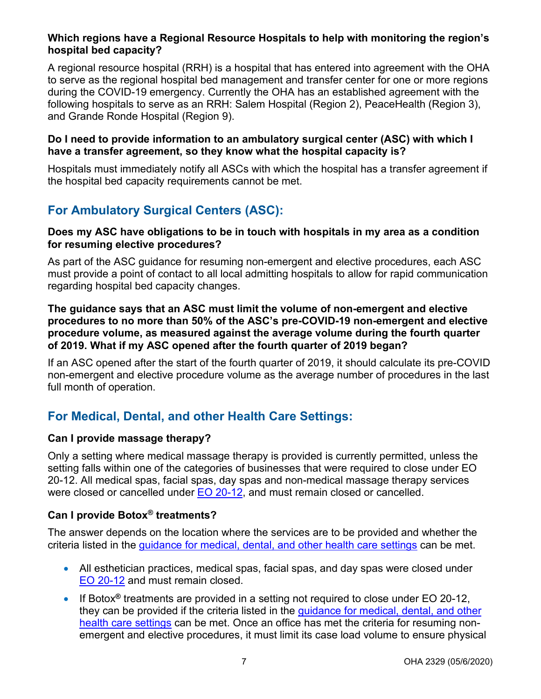### **Which regions have a Regional Resource Hospitals to help with monitoring the region's hospital bed capacity?**

A regional resource hospital (RRH) is a hospital that has entered into agreement with the OHA to serve as the regional hospital bed management and transfer center for one or more regions during the COVID-19 emergency. Currently the OHA has an established agreement with the following hospitals to serve as an RRH: Salem Hospital (Region 2), PeaceHealth (Region 3), and Grande Ronde Hospital (Region 9).

#### **Do I need to provide information to an ambulatory surgical center (ASC) with which I have a transfer agreement, so they know what the hospital capacity is?**

Hospitals must immediately notify all ASCs with which the hospital has a transfer agreement if the hospital bed capacity requirements cannot be met.

# **For Ambulatory Surgical Centers (ASC):**

### **Does my ASC have obligations to be in touch with hospitals in my area as a condition for resuming elective procedures?**

As part of the ASC guidance for resuming non-emergent and elective procedures, each ASC must provide a point of contact to all local admitting hospitals to allow for rapid communication regarding hospital bed capacity changes.

### **The guidance says that an ASC must limit the volume of non-emergent and elective procedures to no more than 50% of the ASC's pre-COVID-19 non-emergent and elective procedure volume, as measured against the average volume during the fourth quarter of 2019. What if my ASC opened after the fourth quarter of 2019 began?**

If an ASC opened after the start of the fourth quarter of 2019, it should calculate its pre-COVID non-emergent and elective procedure volume as the average number of procedures in the last full month of operation.

# **For Medical, Dental, and other Health Care Settings:**

### **Can I provide massage therapy?**

Only a setting where medical massage therapy is provided is currently permitted, unless the setting falls within one of the categories of businesses that were required to close under EO 20-12. All medical spas, facial spas, day spas and non-medical massage therapy services were closed or cancelled under [EO 20-12,](https://www.oregon.gov/gov/Documents/executive_orders/eo_20-12.pdf) and must remain closed or cancelled.

### **Can I provide Botox® treatments?**

The answer depends on the location where the services are to be provided and whether the criteria listed in the [guidance for medical, dental, and other health care settings](https://sharedsystems.dhsoha.state.or.us/DHSForms/Served/le2322s.pdf) can be met.

- All esthetician practices, medical spas, facial spas, and day spas were closed under [EO 20-12](https://www.oregon.gov/gov/Documents/executive_orders/eo_20-12.pdf) and must remain closed.
- If Botox**®** treatments are provided in a setting not required to close under EO 20-12, they can be provided if the criteria listed in the [guidance for medical, dental, and other](https://sharedsystems.dhsoha.state.or.us/DHSForms/Served/le2322s.pdf)  [health care settings](https://sharedsystems.dhsoha.state.or.us/DHSForms/Served/le2322s.pdf) can be met. Once an office has met the criteria for resuming nonemergent and elective procedures, it must limit its case load volume to ensure physical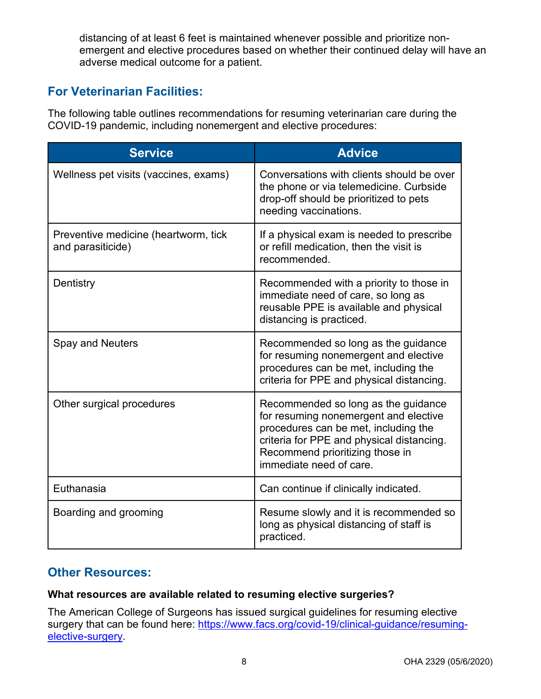distancing of at least 6 feet is maintained whenever possible and prioritize nonemergent and elective procedures based on whether their continued delay will have an adverse medical outcome for a patient.

# **For Veterinarian Facilities:**

The following table outlines recommendations for resuming veterinarian care during the COVID-19 pandemic, including nonemergent and elective procedures:

| <b>Service</b>                                            | <b>Advice</b>                                                                                                                                                                                                                   |
|-----------------------------------------------------------|---------------------------------------------------------------------------------------------------------------------------------------------------------------------------------------------------------------------------------|
| Wellness pet visits (vaccines, exams)                     | Conversations with clients should be over<br>the phone or via telemedicine. Curbside<br>drop-off should be prioritized to pets<br>needing vaccinations.                                                                         |
| Preventive medicine (heartworm, tick<br>and parasiticide) | If a physical exam is needed to prescribe<br>or refill medication, then the visit is<br>recommended.                                                                                                                            |
| Dentistry                                                 | Recommended with a priority to those in<br>immediate need of care, so long as<br>reusable PPE is available and physical<br>distancing is practiced.                                                                             |
| <b>Spay and Neuters</b>                                   | Recommended so long as the guidance<br>for resuming nonemergent and elective<br>procedures can be met, including the<br>criteria for PPE and physical distancing.                                                               |
| Other surgical procedures                                 | Recommended so long as the guidance<br>for resuming nonemergent and elective<br>procedures can be met, including the<br>criteria for PPE and physical distancing.<br>Recommend prioritizing those in<br>immediate need of care. |
| Euthanasia                                                | Can continue if clinically indicated.                                                                                                                                                                                           |
| Boarding and grooming                                     | Resume slowly and it is recommended so<br>long as physical distancing of staff is<br>practiced.                                                                                                                                 |

## **Other Resources:**

### **What resources are available related to resuming elective surgeries?**

The American College of Surgeons has issued surgical guidelines for resuming elective surgery that can be found here: [https://www.facs.org/covid-19/clinical-guidance/resuming](https://urldefense.proofpoint.com/v2/url?u=https-3A__www.facs.org_covid-2D19_clinical-2Dguidance_resuming-2Delective-2Dsurgery&d=DwMFaQ&c=7gilq_oJKU2hnacFUWFTuYqjMQ111TRstgx6WoATdXo&r=F81wqAxhcLyhp8wbbrYxB15hSBUuXV9krhT9cL5qaCbIDU5X22hrzL7yvQlFTAax&m=W4ltM_IWb6szz_qnjfft58uC3FM500mhY0xdfcGG_Sw&s=FZs5G1y9SO9bovPHLPaa37C6zZ89e6jRWFxEjQoz2SE&e=)[elective-surgery.](https://urldefense.proofpoint.com/v2/url?u=https-3A__www.facs.org_covid-2D19_clinical-2Dguidance_resuming-2Delective-2Dsurgery&d=DwMFaQ&c=7gilq_oJKU2hnacFUWFTuYqjMQ111TRstgx6WoATdXo&r=F81wqAxhcLyhp8wbbrYxB15hSBUuXV9krhT9cL5qaCbIDU5X22hrzL7yvQlFTAax&m=W4ltM_IWb6szz_qnjfft58uC3FM500mhY0xdfcGG_Sw&s=FZs5G1y9SO9bovPHLPaa37C6zZ89e6jRWFxEjQoz2SE&e=)